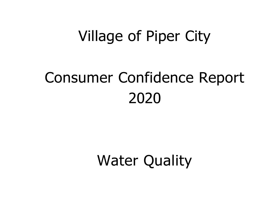## Village of Piper City

# Consumer Confidence Report 2020

## Water Quality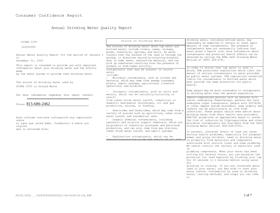### Annual Drinking Water Quality Report

|                                                                                                                                                                               |                                                                                                                                                                                                                                                                                                                                                            | Drinking water, including bottled water, may                                                                                                                                                                                                                                                                                                                                                                                                                                                                                                                                                                                                     |  |  |  |
|-------------------------------------------------------------------------------------------------------------------------------------------------------------------------------|------------------------------------------------------------------------------------------------------------------------------------------------------------------------------------------------------------------------------------------------------------------------------------------------------------------------------------------------------------|--------------------------------------------------------------------------------------------------------------------------------------------------------------------------------------------------------------------------------------------------------------------------------------------------------------------------------------------------------------------------------------------------------------------------------------------------------------------------------------------------------------------------------------------------------------------------------------------------------------------------------------------------|--|--|--|
| PIPER CITY                                                                                                                                                                    | Source of Drinking Water                                                                                                                                                                                                                                                                                                                                   | reasonably be expected to contain at least small                                                                                                                                                                                                                                                                                                                                                                                                                                                                                                                                                                                                 |  |  |  |
| IL0530300                                                                                                                                                                     | The sources of drinking water (both tap water and<br>bottled water) include rivers, lakes, streams,<br>ponds, reservoirs, springs, and wells. As water                                                                                                                                                                                                     | amounts of some contaminants. The presence of<br>contaminants does not necessarily indicate that<br>water poses a health risk, more information about<br>contaminants and potential health effects can be<br>obtained by calling the EPAs Safe Drinking Water                                                                                                                                                                                                                                                                                                                                                                                    |  |  |  |
| Annual Water Quality Report for the period of January 1<br>t.o.                                                                                                               | travels over the surface of the land or through the<br>ground, it dissolves naturally-occurring minerals                                                                                                                                                                                                                                                   |                                                                                                                                                                                                                                                                                                                                                                                                                                                                                                                                                                                                                                                  |  |  |  |
| December 31, 2020                                                                                                                                                             | and, in some cases, radioactive material, and can<br>pick up substances resulting from the presence of                                                                                                                                                                                                                                                     | Hotline at (800) 426-4791.                                                                                                                                                                                                                                                                                                                                                                                                                                                                                                                                                                                                                       |  |  |  |
| This report is intended to provide you with important<br>information about your drinking water and the efforts<br>made<br>by the water system to provide safe drinking water. | animals or from human activity.<br>Contaminants that may be present in source<br>water<br>include:                                                                                                                                                                                                                                                         | In order to ensure that tap water is safe to<br>drink, EPA prescribes regulations which limit the<br>amount of certain contaminants in water provided                                                                                                                                                                                                                                                                                                                                                                                                                                                                                            |  |  |  |
| The source of drinking water used by<br>PIPER CITY is Ground Water                                                                                                            | Microbial contaminants, such as viruses and<br>bacteria, which may come from sewage treatment<br>plants, septic systems, agricultural livestock<br>operations, and wildlife.                                                                                                                                                                               | by public water systems. FDA regulations establish<br>limits for contaminants in bottled water which<br>must provide the same protection for public<br>health.                                                                                                                                                                                                                                                                                                                                                                                                                                                                                   |  |  |  |
| For more information regarding this report contact:                                                                                                                           | Inorganic contaminants, such as salts and<br>metals, which can be naturally-occurring or                                                                                                                                                                                                                                                                   | Some people may be more vulnerable to contaminants<br>in drinking water than the general population.                                                                                                                                                                                                                                                                                                                                                                                                                                                                                                                                             |  |  |  |
| Phone 815-686-2462                                                                                                                                                            | result<br>from urban storm water runoff, industrial or<br>domestic wastewater discharges, oil and gas<br>production, mining, or farming.                                                                                                                                                                                                                   | Immuno-compromised persons such as persons with<br>cancer undergoing chemotherapy, persons who have<br>undergone organ transplants, people with DIV/AIDS<br>or other immune system disorders, some elderly and                                                                                                                                                                                                                                                                                                                                                                                                                                   |  |  |  |
| Este informe contiene informaciOn muy importante<br>sobre<br>el aqua que usted bebe. Traddzcalo 6 hable con<br>alquien<br>que lo entienda bien.                               | Pesticides and herbicides, which may come from a<br>variety of sources such as agriculture, urban storm<br>water runoff, and residential uses.<br>Organic chemical contaminants, including<br>synthetic and volatile organic chemicals, which are<br>by-products of industrial processes and petroleum<br>production, and can also come from gas stations, | infants can be particularly at risk from<br>infections. These people should seek advice about<br>drinking water from their health care providers.<br>EPA/CDC quidelines on appropriate means to lessen<br>the risk of infection by Cryptosporidium and other<br>microbial contaminants are available from the Safe<br>Drinking Water Hotline (800-426-4791).                                                                                                                                                                                                                                                                                     |  |  |  |
|                                                                                                                                                                               | urban storm water runoff, and septic systems.                                                                                                                                                                                                                                                                                                              | If present, elevated levels of lead can cause<br>serious health problems, especially for pregnant                                                                                                                                                                                                                                                                                                                                                                                                                                                                                                                                                |  |  |  |
|                                                                                                                                                                               | Radioactive contaminants, which can be<br>naturally-occurring or he the result of oil and                                                                                                                                                                                                                                                                  | women and young children. Lead in drinking water<br>is primarily from materials and components<br>associated with service lines and home plumbing.<br>We cannot control the variety of materials used<br>in<br>plumbing components. When your water has been<br>sitting for several hours, you can minimize the<br>potential for lead exposure by flushing your tap<br>for 30 seconds to 2 minutes before using water<br>for<br>drinking or cooking. If you are concerned about<br>lead in your water, you may wish to have your<br>water tested. Information on lead in drinking<br>water, testing methods, and steps you can take<br>$t \circ$ |  |  |  |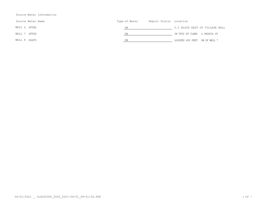#### Source Water Information

|                | Source Water Name | Type of Water | Report Status Location |                               |                                |
|----------------|-------------------|---------------|------------------------|-------------------------------|--------------------------------|
| WELL 6 (47532) |                   | GW            |                        |                               | 0.5 BLOCK EAST OF VILLAGE HALL |
| WELL 7 (47533) |                   | GW            |                        | IN TPO2 AT CLARK & PEORIA ST  |                                |
| WELL 8 (01207) |                   | GW            |                        | LOCATED 400 FEET SW OF WELL 7 |                                |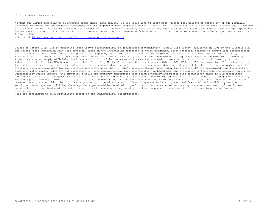We want our valued customers to be informed about their water quality. If you would like to learn more, please feel welcome to attend any of our reqularly scheduled meetings. The source water assessment for our supply has been completed by the Illinois EPA. If you would like a copy of this information, please stop<br>by City Hall or call our water operator at wiz-6862462. To vi by City Hall or call our water operator at wiz-6862462 . To view a summary version of the completed Source Water Assessments, including: Importance of Source Water; Susceptibility to Contamination Determination; and documentation/recommendation of Source Water Protection Efforts, you may access the Illinois EPA

website at<http://www.epa.state.il.us/cgi-bin/wp/swap-fact-sheets.pl.>

Source of Water: PIPER CITYTo determine Piper City's susceptibility to groundwater contamination, a Well Site Survey, published in 1991 by the Illinois EPA, and Source Water Protection Plan were reviewed. Based on the information contained in these documents, seven potential sources of groundwater contamination are present that could pose a hazard to groundwater pumped by the Piper City community water supply wells. These include Brenton TWP, Meir Oil Co., Hitchen's Oil Co., Phillips Service Center, Green Street Car, Phillips Oil Co., and unknown above ground storage tank. Based on information provided by Piper City's water supply officials, Ford Central C.U.S.D. #8 in the above site table has changed its name to Tri Point C.U.S.D. 6J.Based upon this information, the Illinois EPA has determined that Piper City Wells #6, #7, and #8 are not susceptible to IOC, VOC, or SOC contamination. This determination is based on a number of criteria including: monitoring conducted at the wells; monitoring conducted at the entry point to the distribution system; and the available hydrogeologic data for the wells.In anticipation of the U.S. EPA's proposed Ground Water Rule, the Illinois EPA has determined that Piper City's community water supply wells are not vulnerable to viral contamination. This determination is based upon the evaluation of the following criteria during the Vulnerability Waiver Process: the community's wells are properly constructed with sound integrity and proper site conditions; there is a hydrogeologic barrier that restricts pathogen movement; all potential routes and sanitary defects have been mitigated such that the source water is adequately protected; monitoring data did not indicate a history of disease outbreak; and the sanitary survey of the water supply did not indicate a viral contamination threat. However, having stated this, the U.S. EPA is proposing to require States to identify systems in karst, gravel and fractured rock aquifer systems as sensitive. Water systems utilizing these aquifer types would be required to perform routine source water monitoring. Because the community's wells are constructed in a confined aquifer, which should provide an adequate degree of protection to prevent the movement of pathogens into the wells, well hydraulics

were not considered to be a significant factor in the vulnerability determination.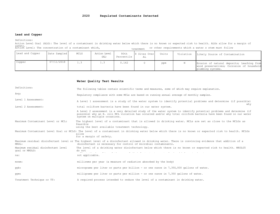#### **Lead and Copper**

Definitions:

Action Level Goal (ALG): The level of a contaminant in drinking water below which there is no known or expected risk to health. ALGs allow for a margin of safety. The concentration of a contaminant which,<br>Action Level: The concentration of a contaminant which, treatment or other requirements which a water s stem must follow

| Lead and Copper | Date Sampled | MCLG | Action Level<br>(AL) | 90th<br>Percentile | 8 Sites Over<br>AL | Units | Violation | Likely Source of Contamination                                                                                |
|-----------------|--------------|------|----------------------|--------------------|--------------------|-------|-----------|---------------------------------------------------------------------------------------------------------------|
| Copper          | 07/11/2018   |      | 1.3                  | 0.162              |                    | ppm   |           | Erosion of natural deposits; Leaching from<br>wood preservatives; Corrosion of household<br>plumbing systems. |

#### **Water Quality Test Results**

| Definitions:                                          | The following tables contain scientific terms and measures, some of which may require explanation.                                                                                                                                                                                                                                                        |  |  |  |  |  |
|-------------------------------------------------------|-----------------------------------------------------------------------------------------------------------------------------------------------------------------------------------------------------------------------------------------------------------------------------------------------------------------------------------------------------------|--|--|--|--|--|
| Avq:                                                  | Requiatory compliance with some MCLs are based on running annual average of monthly samples.                                                                                                                                                                                                                                                              |  |  |  |  |  |
| Level 1 Assessment:                                   | A Level 1 assessment is a study of the water system to identify potential problems and determine (if possible)<br>why                                                                                                                                                                                                                                     |  |  |  |  |  |
| Level 2 Assessment:                                   | total coliform bacteria have been found in our water system.                                                                                                                                                                                                                                                                                              |  |  |  |  |  |
|                                                       | A Level 2 assessment is a very detailed study of the water system to identify potential problems and determine (if<br>possible) why an E. coli MCL violation has occurred and/or why total coliform bacteria have been found in our water<br>system on multiple occasions.                                                                                |  |  |  |  |  |
| Maximum Contaminant Level or MCL:                     | The highest level of a contaminant that is allowed in drinking water. MCLs are set as close to the MCLGs as<br>feasible<br>using the best available treatment technology.                                                                                                                                                                                 |  |  |  |  |  |
|                                                       | Maximum Contaminant Level Goal or MCLG: The level of a contaminant in drinking water below which there is no known or expected risk to health. MCLGs<br>allow<br>for a margin of safety.                                                                                                                                                                  |  |  |  |  |  |
| MRDL:                                                 | Maximum residual disinfectant level or The highest level of a disinfectant allowed in drinking water. There is convincing evidence that addition of a<br>disinfectant is necessary for control of microbial contaminants.                                                                                                                                 |  |  |  |  |  |
| Maximum residual disinfectant level<br>goal or MRDLG: | The level of a drinking water disinfectant below which there is no known or expected risk to health. MRDLG5<br>do not<br>n 1966 - Andreas III, ann an Cairline ann an Comhairle ann an Christian ann an Christian ann an Christian ann<br>the contract of the contract of the contract of the contract of the contract of the contract of the contract of |  |  |  |  |  |
| na:                                                   | not applicable.                                                                                                                                                                                                                                                                                                                                           |  |  |  |  |  |
| mrem:                                                 | millirems per year (a measure of radiation absorbed by the body)                                                                                                                                                                                                                                                                                          |  |  |  |  |  |
| ppb:                                                  | micrograms per liter or parts per billion - or one ounce in 7,350,000 gallons of water.                                                                                                                                                                                                                                                                   |  |  |  |  |  |
| ppm:                                                  | milligrams per liter or parts per million - or one ounce in 7,350 gallons of water.                                                                                                                                                                                                                                                                       |  |  |  |  |  |
| Treatment Technique or TT:                            | A required process intended to reduce the level of a contaminant in drinking water.                                                                                                                                                                                                                                                                       |  |  |  |  |  |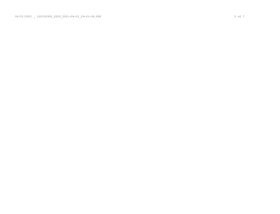04/01/2021 \_ IL0530300\_2020\_2021-04-01\_09-01-26.PDF  $\qquad \qquad$